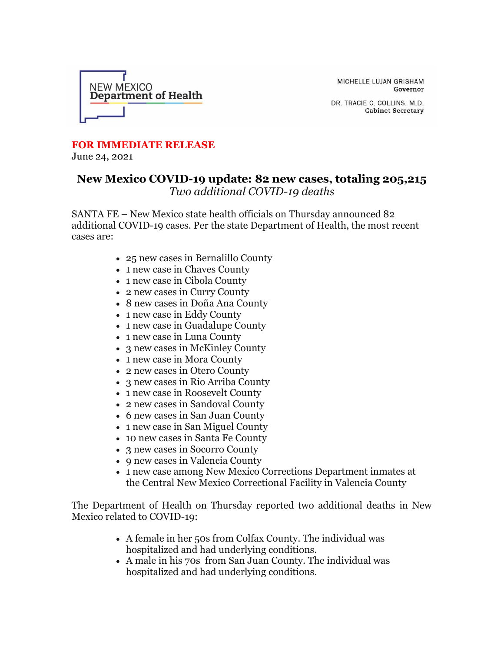

MICHELLE LUJAN GRISHAM Governor

DR. TRACIE C. COLLINS, M.D. **Cabinet Secretary** 

## **FOR IMMEDIATE RELEASE**

June 24, 2021

## **New Mexico COVID-19 update: 82 new cases, totaling 205,215** *Two additional COVID-19 deaths*

SANTA FE – New Mexico state health officials on Thursday announced 82 additional COVID-19 cases. Per the state Department of Health, the most recent cases are:

- 25 new cases in Bernalillo County
- 1 new case in Chaves County
- 1 new case in Cibola County
- 2 new cases in Curry County
- 8 new cases in Doña Ana County
- 1 new case in Eddy County
- 1 new case in Guadalupe County
- 1 new case in Luna County
- 3 new cases in McKinley County
- 1 new case in Mora County
- 2 new cases in Otero County
- 3 new cases in Rio Arriba County
- 1 new case in Roosevelt County
- 2 new cases in Sandoval County
- 6 new cases in San Juan County
- 1 new case in San Miguel County
- 10 new cases in Santa Fe County
- 3 new cases in Socorro County
- 9 new cases in Valencia County
- 1 new case among New Mexico Corrections Department inmates at the Central New Mexico Correctional Facility in Valencia County

The Department of Health on Thursday reported two additional deaths in New Mexico related to COVID-19:

- A female in her 50s from Colfax County. The individual was hospitalized and had underlying conditions.
- A male in his 70s from San Juan County. The individual was hospitalized and had underlying conditions.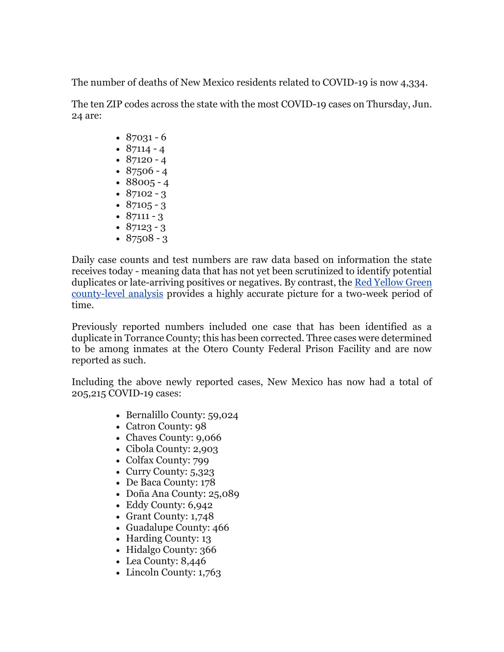The number of deaths of New Mexico residents related to COVID-19 is now 4,334.

The ten ZIP codes across the state with the most COVID-19 cases on Thursday, Jun. 24 are:

- $87031 6$
- $87114 4$
- $87120 4$
- $\cdot$  87506 4
- $88005 4$ •  $87102 - 3$
- $87105 3$
- $87111 3$
- $87123 3$
- $87508 3$

Daily case counts and test numbers are raw data based on information the state receives today - meaning data that has not yet been scrutinized to identify potential duplicates or late-arriving positives or negatives. By contrast, the [Red Yellow Green](https://r20.rs6.net/tn.jsp?f=001NnR-q-l2uHUzblsyVd-RLuDbZ4zkmKCsDV-HDKKmFKy4IQn2QI5g0QUpfXtv98C8xjaXj9sJ6qSJRCcPyHjpFWIMIQ-8igtAEsrujGHo_JW_l3MlHMUiaVtWVJdeNbkuc2Dth-nhCh8zhvTGVeJGChgbBbim9o3QsyPNGHdnRjHo3-i8ErqptNtcCIAAklYSyWKktjwDUk01QYsTsmxuGom7GXqHX4G2&c=iBA7o0diL7Tas88bii3TF9Cf6CusCjMcQvBB4hDvCN1FIsOzYcSN5Q==&ch=Aqv5Fh_R6odg6fTNUNjs0-zCOfR4BjhqgzWTTu5pKaRJge8IR5EyMw==)  [county-level analysis](https://r20.rs6.net/tn.jsp?f=001NnR-q-l2uHUzblsyVd-RLuDbZ4zkmKCsDV-HDKKmFKy4IQn2QI5g0QUpfXtv98C8xjaXj9sJ6qSJRCcPyHjpFWIMIQ-8igtAEsrujGHo_JW_l3MlHMUiaVtWVJdeNbkuc2Dth-nhCh8zhvTGVeJGChgbBbim9o3QsyPNGHdnRjHo3-i8ErqptNtcCIAAklYSyWKktjwDUk01QYsTsmxuGom7GXqHX4G2&c=iBA7o0diL7Tas88bii3TF9Cf6CusCjMcQvBB4hDvCN1FIsOzYcSN5Q==&ch=Aqv5Fh_R6odg6fTNUNjs0-zCOfR4BjhqgzWTTu5pKaRJge8IR5EyMw==) provides a highly accurate picture for a two-week period of time.

Previously reported numbers included one case that has been identified as a duplicate in Torrance County; this has been corrected. Three cases were determined to be among inmates at the Otero County Federal Prison Facility and are now reported as such.

Including the above newly reported cases, New Mexico has now had a total of 205,215 COVID-19 cases:

- Bernalillo County: 59,024
- Catron County: 98
- Chaves County: 9,066
- Cibola County: 2,903
- Colfax County: 799
- Curry County: 5,323
- De Baca County: 178
- Doña Ana County: 25,089
- Eddy County: 6,942
- Grant County: 1,748
- Guadalupe County: 466
- Harding County: 13
- Hidalgo County: 366
- Lea County: 8,446
- Lincoln County: 1,763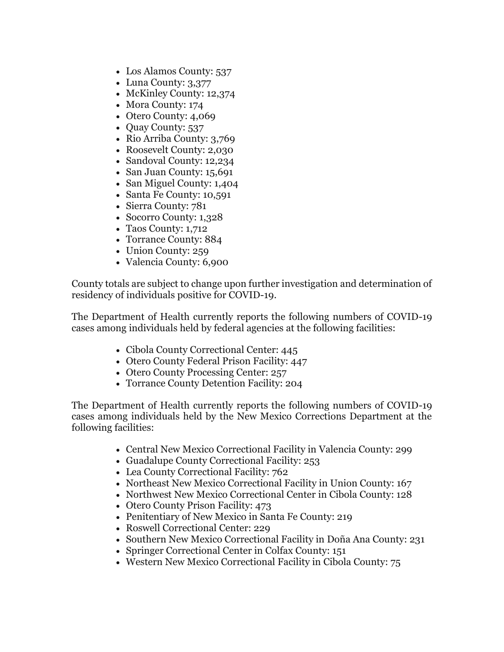- Los Alamos County: 537
- Luna County: 3,377
- McKinley County: 12,374
- Mora County: 174
- Otero County: 4,069
- Quay County: 537
- Rio Arriba County: 3,769
- Roosevelt County: 2,030
- Sandoval County: 12,234
- San Juan County: 15,691
- San Miguel County: 1,404
- Santa Fe County: 10,591
- Sierra County: 781
- Socorro County: 1,328
- Taos County: 1,712
- Torrance County: 884
- Union County: 259
- Valencia County: 6,900

County totals are subject to change upon further investigation and determination of residency of individuals positive for COVID-19.

The Department of Health currently reports the following numbers of COVID-19 cases among individuals held by federal agencies at the following facilities:

- Cibola County Correctional Center: 445
- Otero County Federal Prison Facility: 447
- Otero County Processing Center: 257
- Torrance County Detention Facility: 204

The Department of Health currently reports the following numbers of COVID-19 cases among individuals held by the New Mexico Corrections Department at the following facilities:

- Central New Mexico Correctional Facility in Valencia County: 299
- Guadalupe County Correctional Facility: 253
- Lea County Correctional Facility: 762
- Northeast New Mexico Correctional Facility in Union County: 167
- Northwest New Mexico Correctional Center in Cibola County: 128
- Otero County Prison Facility: 473
- Penitentiary of New Mexico in Santa Fe County: 219
- Roswell Correctional Center: 229
- Southern New Mexico Correctional Facility in Doña Ana County: 231
- Springer Correctional Center in Colfax County: 151
- Western New Mexico Correctional Facility in Cibola County: 75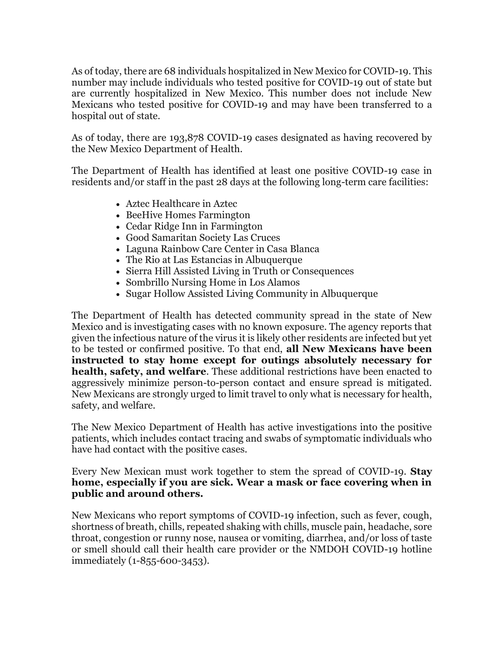As of today, there are 68 individuals hospitalized in New Mexico for COVID-19. This number may include individuals who tested positive for COVID-19 out of state but are currently hospitalized in New Mexico. This number does not include New Mexicans who tested positive for COVID-19 and may have been transferred to a hospital out of state.

As of today, there are 193,878 COVID-19 cases designated as having recovered by the New Mexico Department of Health.

The Department of Health has identified at least one positive COVID-19 case in residents and/or staff in the past 28 days at the following long-term care facilities:

- Aztec Healthcare in Aztec
- BeeHive Homes Farmington
- Cedar Ridge Inn in Farmington
- Good Samaritan Society Las Cruces
- Laguna Rainbow Care Center in Casa Blanca
- The Rio at Las Estancias in Albuquerque
- Sierra Hill Assisted Living in Truth or Consequences
- Sombrillo Nursing Home in Los Alamos
- Sugar Hollow Assisted Living Community in Albuquerque

The Department of Health has detected community spread in the state of New Mexico and is investigating cases with no known exposure. The agency reports that given the infectious nature of the virus it is likely other residents are infected but yet to be tested or confirmed positive. To that end, **all New Mexicans have been instructed to stay home except for outings absolutely necessary for health, safety, and welfare**. These additional restrictions have been enacted to aggressively minimize person-to-person contact and ensure spread is mitigated. New Mexicans are strongly urged to limit travel to only what is necessary for health, safety, and welfare.

The New Mexico Department of Health has active investigations into the positive patients, which includes contact tracing and swabs of symptomatic individuals who have had contact with the positive cases.

Every New Mexican must work together to stem the spread of COVID-19. **Stay home, especially if you are sick. Wear a mask or face covering when in public and around others.**

New Mexicans who report symptoms of COVID-19 infection, such as fever, cough, shortness of breath, chills, repeated shaking with chills, muscle pain, headache, sore throat, congestion or runny nose, nausea or vomiting, diarrhea, and/or loss of taste or smell should call their health care provider or the NMDOH COVID-19 hotline immediately (1-855-600-3453).